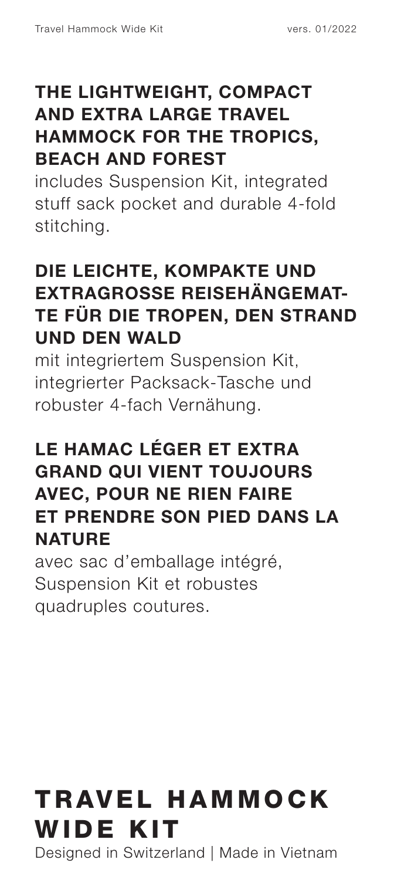#### **THE LIGHTWEIGHT, COMPACT AND EXTRA LARGE TRAVEL HAMMOCK FOR THE TROPICS, BEACH AND FOREST**

includes Suspension Kit, integrated stuff sack pocket and durable 4-fold stitching.

#### **DIE LEICHTE, KOMPAKTE UND EXTRAGROSSE REISEHÄNGEMAT-TE FÜR DIE TROPEN, DEN STRAND UND DEN WALD**

mit integriertem Suspension Kit, integrierter Packsack-Tasche und robuster 4-fach Vernähung.

#### **LE HAMAC LÉGER ET EXTRA GRAND QUI VIENT TOUJOURS AVEC, POUR NE RIEN FAIRE ET PRENDRE SON PIED DANS LA NATURE**

avec sac d'emballage intégré, Suspension Kit et robustes quadruples coutures.

# TRAVEL HAMMOCK WIDE KIT

Designed in Switzerland | Made in Vietnam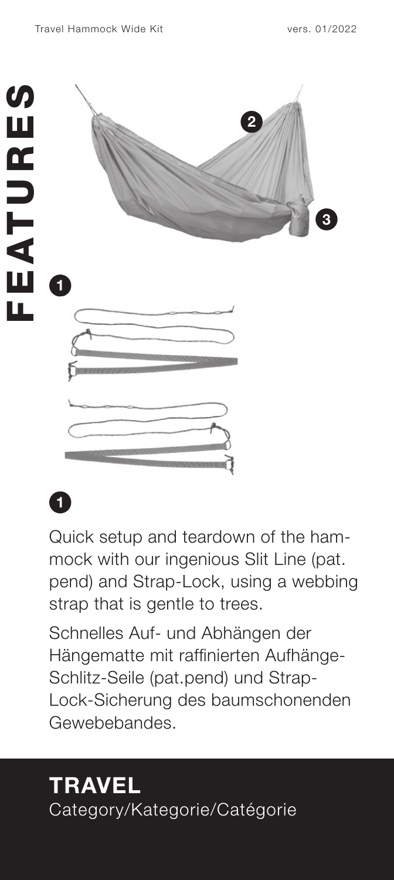



Quick setup and teardown of the ham mock with our ingenious Slit Line (pat. pend) and Strap-Lock, using a webbing strap that is gentle to trees.

**Quick setup and teardown of th<br>mock with our ingenious Slit Lin<br>pend) and Strap-Lock, using a v<br>strap that is gentle to trees.<br>Schnelles Auf- und Abhängen d<br>Hängematte mit raffinierten Auff<br>Schlitz-Seile (pat.pend) und St** Schnelles Auf- und Abhängen der Hängematte mit raffinierten Aufhänge-Schlitz-Seile (pat.pend) und Strap-Lock-Sicherung des baumschonenden Gewebebandes.

# **TRAVEL**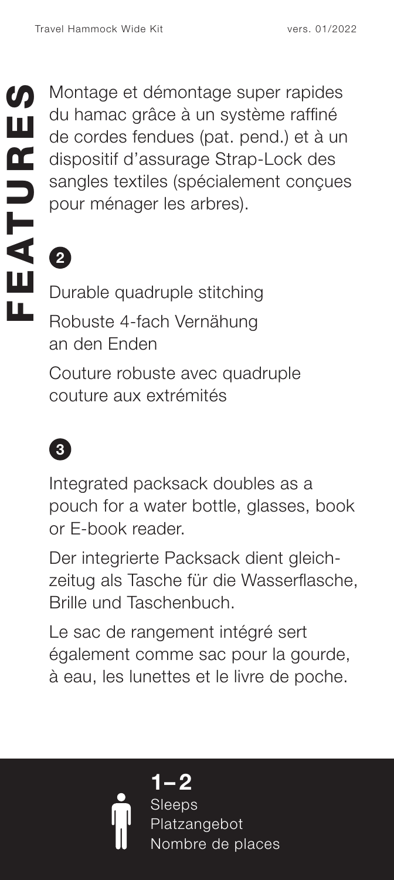Montage et démontage super rapides du hamac grâce à un système raffiné de cordes fendues (pat. pend.) et à un dispositif d'assurage Strap-Lock des sangles textiles (spécialement concues pour ménager les arbres).

**2**

Durable quadruple stitching Robuste 4-fach Vernähung an den Enden

Couture robuste avec quadruple couture aux extrémités



Integrated packsack doubles as a pouch for a water bottle, glasses, book or E-book reader.

Der integrierte Packsack dient gleich zeitug als Tasche für die Wasserflasche, Brille und Taschenbuch.

Le sac de rangement intégré sert également comme sac pour la gourde, à eau, les lunettes et le livre de poche.



**1 – 2 Sleeps** latzangebot ombre de places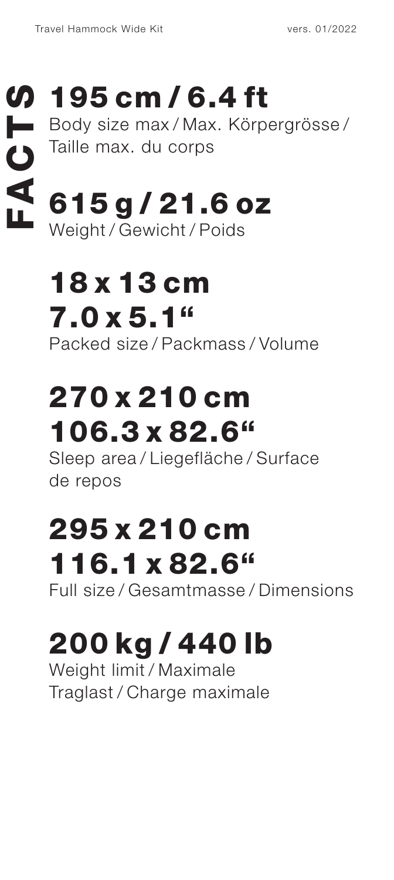# 195 cm / 6.4 ft

Body size max / Max. Körpergrösse / Taille max. du corps Fravel Hammock Wide Kit vers. 01/2022<br>
FRIES CM / 6.4 ft<br>
Falle max. du corps<br>
Taille max. du corps<br>
FRIES COVID-1.6 OZ<br>
Moinht / Courinht / Doido

# 615 g / 21.6 oz Weight / Gewicht / Poids

# 18 x 13 cm 7.0 x 5.1" Packed size / Packmass / Volume

# 270 x 210 cm 106.3 x 82.6"

Sleep area / Liegefläche / Surface de repos

# 295 x 210 cm 116.1 x 82.6"

Full size / Gesamtmasse / Dimensions

# 200 kg / 440 lb

Weight limit / Maximale Traglast / Charge maximale